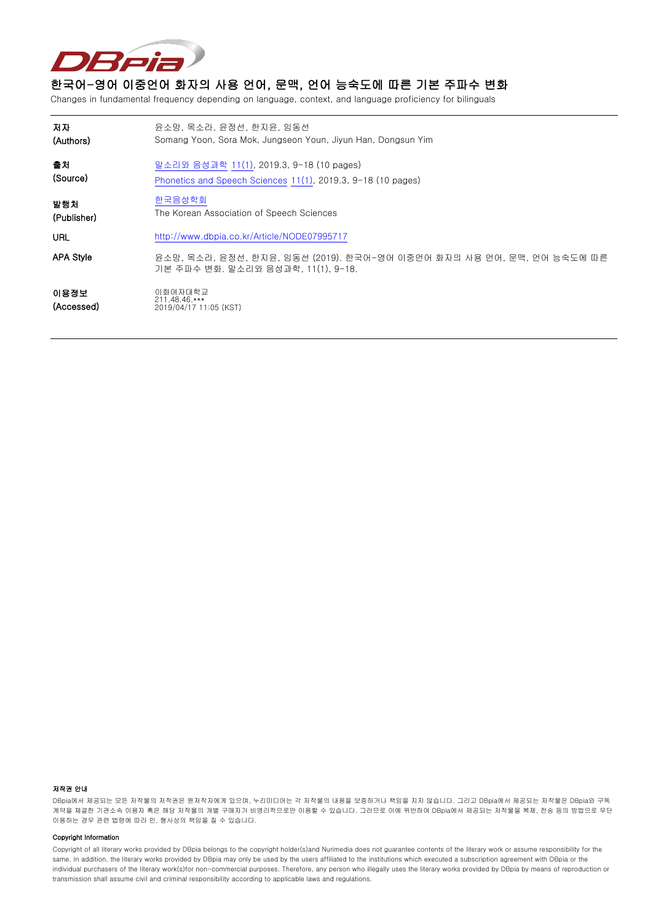

### 한국어-영어 이중언어 화자의 사용 언어, 문맥, 언어 능숙도에 따른 기본 주파수 변화

Changes in fundamental frequency depending on language, context, and language proficiency for bilinguals

| 저자                 | 윤소망, 목소라, 윤정선, 한지윤, 임동선                                                                                     |
|--------------------|-------------------------------------------------------------------------------------------------------------|
| (Authors)          | Somang Yoon, Sora Mok, Jungseon Youn, Jiyun Han, Dongsun Yim                                                |
| 출처                 | 말소리와 음성과학 11(1), 2019.3, 9-18 (10 pages)                                                                    |
| (Source)           | Phonetics and Speech Sciences 11(1), 2019.3, 9-18 (10 pages)                                                |
| 발행처                | 한국음성학회                                                                                                      |
| (Publisher)        | The Korean Association of Speech Sciences                                                                   |
| <b>URL</b>         | http://www.dbpia.co.kr/Article/NODE07995717                                                                 |
| <b>APA Style</b>   | 윤소망, 목소라, 윤정선, 한지윤, 임동선 (2019). 한국어-영어 이중언어 화자의 사용 언어, 문맥, 언어 능숙도에 따른<br>기본 주파수 변화. 말소리와 음성과학, 11(1), 9-18. |
| 이용정보<br>(Accessed) | 이화여자대학교<br>$211.48.46$ .***<br>2019/04/17 11:05 (KST)                                                       |

#### 저작권 안내

DBpia에서 제공되는 모든 저작물의 저작권은 원저작자에게 있으며, 누리미디어는 각 저작물의 내용을 보증하거나 책임을 지지 않습니다. 그리고 DBpia에서 제공되는 저작물은 DBpia와 구독 계약을 체결한 기관소속 이용자 혹은 해당 저작물의 개별 구매자가 비영리적으로만 이용할 수 있습니다. 그러므로 이에 위반하여 DBpia에서 제공되는 저작물을 복제, 전송 등의 방법으로 무단 이용하는 경우 관련 법령에 따라 민, 형사상의 책임을 질 수 있습니다.

#### Copyright Information

Copyright of all literary works provided by DBpia belongs to the copyright holder(s)and Nurimedia does not guarantee contents of the literary work or assume responsibility for the same. In addition, the literary works provided by DBpia may only be used by the users affiliated to the institutions which executed a subscription agreement with DBpia or the individual purchasers of the literary work(s)for non-commercial purposes. Therefore, any person who illegally uses the literary works provided by DBpia by means of reproduction or transmission shall assume civil and criminal responsibility according to applicable laws and regulations.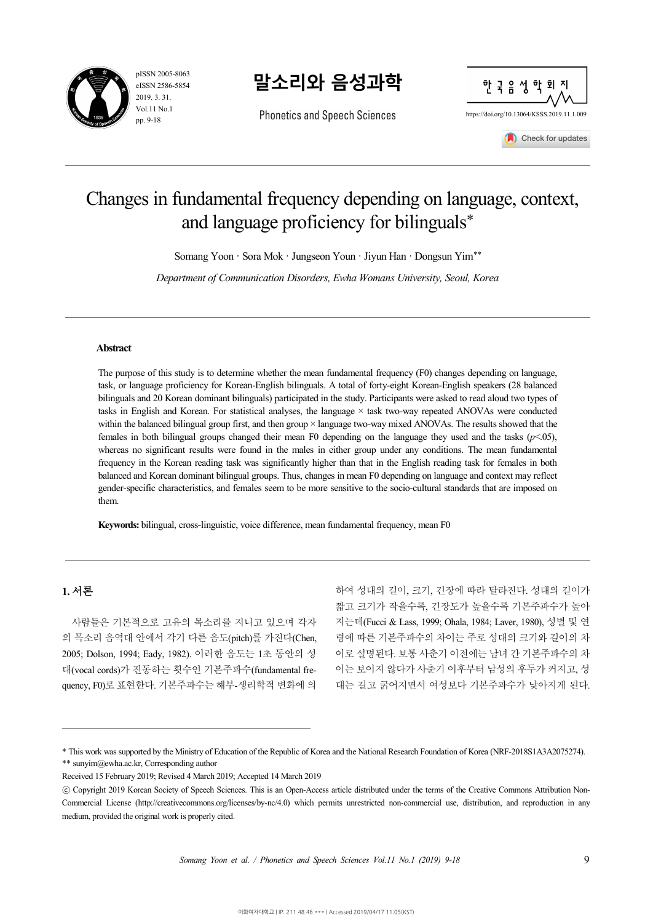

**말소리와 음성과학**

**Phonetics and Speech Sciences** 



# Changes in fundamental frequency depending on language, context, and language proficiency for bilinguals\*

Somang Yoon · Sora Mok · Jungseon Youn · Jiyun Han · Dongsun Yim*\*\**

*Department of Communication Disorders, Ewha Womans University, Seoul, Korea*

#### **Abstract**

The purpose of this study is to determine whether the mean fundamental frequency (F0) changes depending on language, task, or language proficiency for Korean-English bilinguals. A total of forty-eight Korean-English speakers (28 balanced bilinguals and 20 Korean dominant bilinguals) participated in the study. Participants were asked to read aloud two types of tasks in English and Korean. For statistical analyses, the language × task two-way repeated ANOVAs were conducted within the balanced bilingual group first, and then group  $\times$  language two-way mixed ANOVAs. The results showed that the females in both bilingual groups changed their mean F0 depending on the language they used and the tasks  $(p<.05)$ , whereas no significant results were found in the males in either group under any conditions. The mean fundamental frequency in the Korean reading task was significantly higher than that in the English reading task for females in both balanced and Korean dominant bilingual groups. Thus, changes in mean F0 depending on language and context may reflect gender-specific characteristics, and females seem to be more sensitive to the socio-cultural standards that are imposed on them.

**Keywords:** bilingual, cross-linguistic, voice difference, mean fundamental frequency, mean F0

### **1.** 서론

사람들은 기본적으로 고유의 목소리를 지니고 있으며 각자 의 목소리 음역대 안에서 각기 다른 음도(pitch)를 가진다(Chen, 2005; Dolson, 1994; Eady, 1982). 이러한 음도는 1초 동안의 성 대(vocal cords)가 진동하는 횟수인 기본주파수(fundamental fre quency, F0)로 표현한다. 기본주파수는 해부-생리학적 변화에 의

하여 성대의 길이, 크기, 긴장에 따라 달라진다. 성대의 길이가 짧고 크기가 작을수록, 긴장도가 높을수록 기본주파수가 높아 지는데(Fucci & Lass, 1999; Ohala, 1984; Laver, 1980), 성별 및 연 령에 따른 기본주파수의 차이는 주로 성대의 크기와 길이의 차 이로 설명된다. 보통 사춘기 이전에는 남녀 간 기본주파수의 차 이는 보이지 않다가 사춘기 이후부터 남성의 후두가 커지고, 성 대는 길고 굵어지면서 여성보다 기본주파수가 낮아지게 된다.

*Somang Yoon et al. / Phonetics and Speech Sciences Vol.11 No.1 (2019) 9-18* 9

<sup>\*</sup> This work was supported by the Ministry of Education of the Republic of Korea and the National Research Foundation of Korea (NRF-2018S1A3A2075274). \*\* sunyim@ewha.ac.kr, Corresponding author

Received 15 February 2019; Revised 4 March 2019; Accepted 14 March 2019

<sup>ⓒ</sup> Copyright 2019 Korean Society of Speech Sciences. This is an Open-Access article distributed under the terms of the Creative Commons Attribution Non-Commercial License (http://creativecommons.org/licenses/by-nc/4.0) which permits unrestricted non-commercial use, distribution, and reproduction in any medium, provided the original work is properly cited.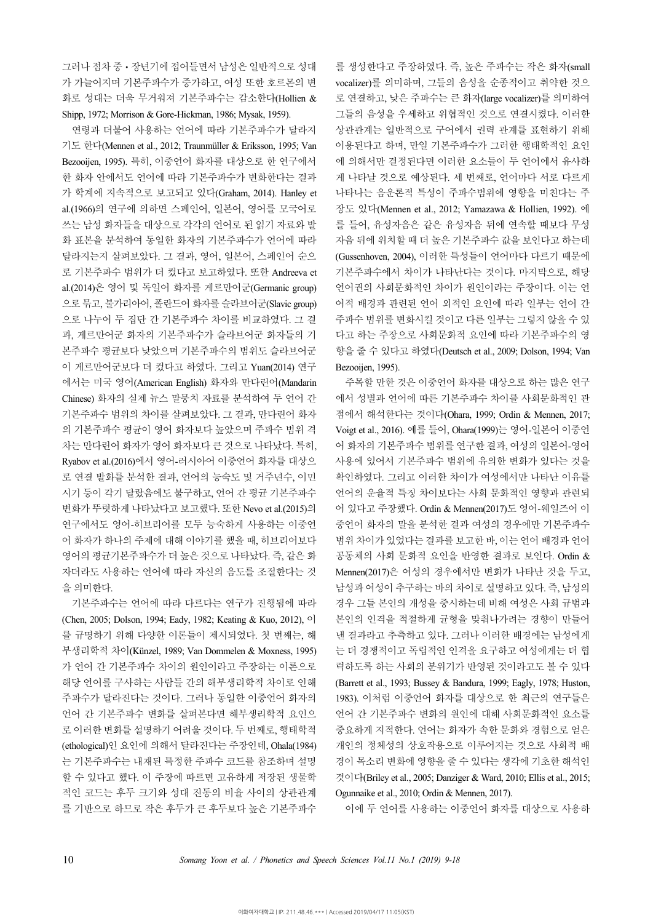그러나 점차 중ㆍ장년기에 접어들면서 남성은 일반적으로 성대 가 가늘어지며 기본주파수가 증가하고, 여성 또한 호르몬의 변 화로 성대는 더욱 무거워져 기본주파수는 감소한다(Hollien & Shipp, 1972; Morrison & Gore-Hickman, 1986; Mysak, 1959).

연령과 더불어 사용하는 언어에 따라 기본주파수가 달라지 기도 한다(Mennen et al., 2012; Traunmüller & Eriksson, 1995; Van Bezooijen, 1995). 특히, 이중언어 화자를 대상으로 한 연구에서 한 화자 안에서도 언어에 따라 기본주파수가 변화한다는 결과 가 학계에 지속적으로 보고되고 있다(Graham, 2014). Hanley et al.(1966)의 연구에 의하면 스페인어, 일본어, 영어를 모국어로 쓰는 남성 화자들을 대상으로 각각의 언어로 된 읽기 자료와 발 화 표본을 분석하여 동일한 화자의 기본주파수가 언어에 따라 달라지는지 살펴보았다. 그 결과, 영어, 일본어, 스페인어 순으 로 기본주파수 범위가 더 컸다고 보고하였다. 또한 Andreeva et al.(2014)은 영어 및 독일어 화자를 게르만어군(Germanic group) 으로 묶고, 불가리아어, 폴란드어 화자를 슬라브어군(Slavic group) 으로 나누어 두 집단 간 기본주파수 차이를 비교하였다. 그 결 과, 게르만어군 화자의 기본주파수가 슬라브어군 화자들의 기 본주파수 평균보다 낮았으며 기본주파수의 범위도 슬라브어군 이 게르만어군보다 더 컸다고 하였다. 그리고 Yuan(2014) 연구 에서는 미국 영어(American English) 화자와 만다린어(Mandarin Chinese) 화자의 실제 뉴스 말뭉치 자료를 분석하여 두 언어 간 기본주파수 범위의 차이를 살펴보았다. 그 결과, 만다린어 화자 의 기본주파수 평균이 영어 화자보다 높았으며 주파수 범위 격 차는 만다린어 화자가 영어 화자보다 큰 것으로 나타났다. 특히,<br>Ryabov et al.(2016)에서 영어-러시아어 이중언어 화자를 대상으 로 연결 발화를 분석한 결과, 언어의 능숙도 및 거주년수, 이민 시기 등이 각기 달랐음에도 불구하고, 언어 간 평균 기본주파수 변화가 뚜렷하게 나타났다고 보고했다. 또한 Nevo et al.(2015)의 연구에서도 영어-히브리어를 모두 능숙하게 사용하는 이중언 어 화자가 하나의 주제에 대해 이야기를 했을 때, 히브리어보다 영어의 평균기본주파수가 더 높은 것으로 나타났다. 즉, 같은 화 자더라도 사용하는 언어에 따라 자신의 음도를 조절한다는 것 을 의미한다.

기본주파수는 언어에 따라 다르다는 연구가 진행됨에 따라 (Chen, 2005; Dolson, 1994; Eady, 1982; Keating & Kuo, 2012), 이 를 규명하기 위해 다양한 이론들이 제시되었다. 첫 번째는, 해 부생리학적 차이(Künzel, 1989; Van Dommelen & Moxness, 1995) 가 언어 간 기본주파수 차이의 원인이라고 주장하는 이론으로 해당 언어를 구사하는 사람들 간의 해부생리학적 차이로 인해 주파수가 달라진다는 것이다. 그러나 동일한 이중언어 화자의 언어 간 기본주파수 변화를 살펴본다면 해부생리학적 요인으 로 이러한 변화를 설명하기 어려울 것이다. 두 번째로, 행태학적 (ethological)인 요인에 의해서 달라진다는 주장인데, Ohala(1984) 는 기본주파수는 내재된 특정한 주파수 코드를 참조하며 설명 할 수 있다고 했다. 이 주장에 따르면 고유하게 저장된 생물학 적인 코드는 후두 크기와 성대 진동의 비율 사이의 상관관계 를 기반으로 하므로 작은 후두가 큰 후두보다 높은 기본주파수

를 생성한다고 주장하였다. 즉, 높은 주파수는 작은 화자(small vocalizer)를 의미하며, 그들의 음성을 순종적이고 취약한 것으 로 연결하고, 낮은 주파수는 큰 화자(large vocalizer)를 의미하여 그들의 음성을 우세하고 위협적인 것으로 연결시켰다. 이러한 상관관계는 일반적으로 구어에서 권력 관계를 표현하기 위해 이용된다고 하며, 만일 기본주파수가 그러한 행태학적인 요인 에 의해서만 결정된다면 이러한 요소들이 두 언어에서 유사하 게 나타날 것으로 예상된다. 세 번째로, 언어마다 서로 다르게 나타나는 음운론적 특성이 주파수범위에 영향을 미친다는 주 장도 있다(Mennen et al., 2012; Yamazawa & Hollien, 1992). 예 를 들어, 유성자음은 같은 유성자음 뒤에 연속할 때보다 무성 자음 뒤에 위치할 때 더 높은 기본주파수 값을 보인다고 하는데 (Gussenhoven, 2004), 이러한 특성들이 언어마다 다르기 때문에 기본주파수에서 차이가 나타난다는 것이다. 마지막으로, 해당 언어권의 사회문화적인 차이가 원인이라는 주장이다. 이는 언 어적 배경과 관련된 언어 외적인 요인에 따라 일부는 언어 간 주파수 범위를 변화시킬 것이고 다른 일부는 그렇지 않을 수 있 다고 하는 주장으로 사회문화적 요인에 따라 기본주파수의 영 향을 줄 수 있다고 하였다(Deutsch et al., 2009; Dolson, 1994; Van Bezooijen, 1995).

주목할 만한 것은 이중언어 화자를 대상으로 하는 많은 연구 에서 성별과 언어에 따른 기본주파수 차이를 사회문화적인 관 점에서 해석한다는 것이다(Ohara, 1999; Ordin & Mennen, 2017; Voigt et al., 2016). 예를 들어, Ohara(1999)는 영어-일본어 이중언 어 화자의 기본주파수 범위를 연구한 결과, 여성의 일본어-영어 사용에 있어서 기본주파수 범위에 유의한 변화가 있다는 것을 확인하였다. 그리고 이러한 차이가 여성에서만 나타난 이유를 언어의 운율적 특징 차이보다는 사회 문화적인 영향과 관련되 어 있다고 주장했다. Ordin & Mennen(2017)도 영어-웨일즈어 이 중언어 화자의 말을 분석한 결과 여성의 경우에만 기본주파수 범위 차이가 있었다는 결과를 보고한 바, 이는 언어 배경과 언어 공동체의 사회 문화적 요인을 반영한 결과로 보인다. Ordin & Mennen(2017)은 여성의 경우에서만 변화가 나타난 것을 두고, 남성과 여성이 추구하는 바의 차이로 설명하고 있다. 즉, 남성의 경우 그들 본인의 개성을 중시하는데 비해 여성은 사회 규범과 본인의 인격을 적절하게 균형을 맞춰나가려는 경향이 만들어 낸 결과라고 추측하고 있다. 그러나 이러한 배경에는 남성에게 는 더 경쟁적이고 독립적인 인격을 요구하고 여성에게는 더 협 력하도록 하는 사회의 분위기가 반영된 것이라고도 볼 수 있다 (Barrett et al., 1993; Bussey & Bandura, 1999; Eagly, 1978; Huston, 1983). 이처럼 이중언어 화자를 대상으로 한 최근의 연구들은 언어 간 기본주파수 변화의 원인에 대해 사회문화적인 요소를 중요하게 지적한다. 언어는 화자가 속한 문화와 경험으로 얻은 개인의 정체성의 상호작용으로 이루어지는 것으로 사회적 배 경이 목소리 변화에 영향을 줄 수 있다는 생각에 기초한 해석인 것이다(Briley et al., 2005; Danziger & Ward, 2010; Ellis et al., 2015; Ogunnaike et al., 2010; Ordin & Mennen, 2017).

이에 두 언어를 사용하는 이중언어 화자를 대상으로 사용하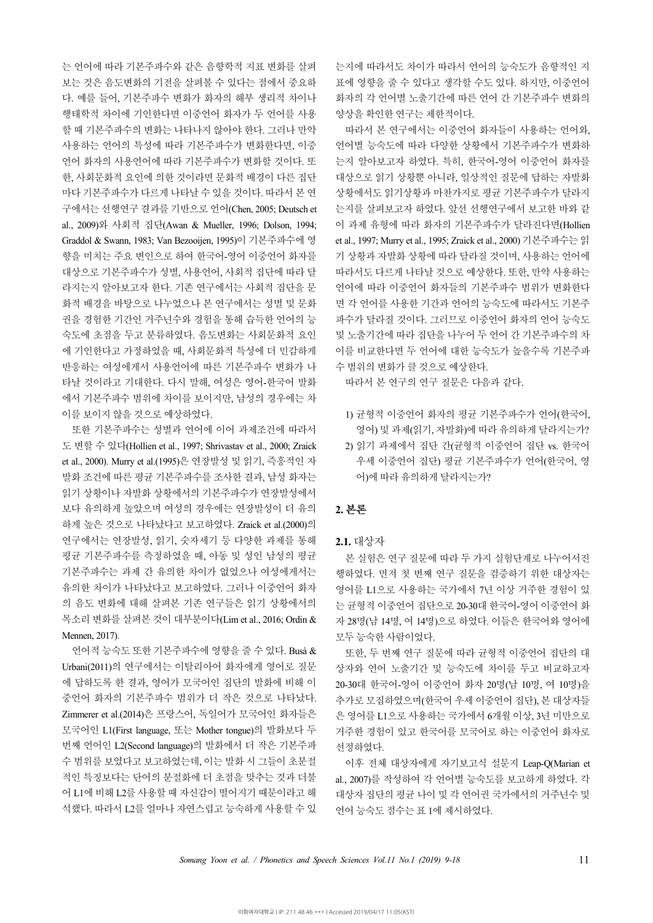는 언어에 따라 기본주파수와 같은 음향학적 지표 변화를 살펴 보는 것은 음도변화의 기전을 살펴볼 수 있다는 점에서 중요하 다. 예를 들어, 기본주파수 변화가 화자의 해부 생리적 차이나 행태학적 차이에 기인한다면 이중언어 화자가 두 언어를 사용 할 때 기본주파수의 변화는 나타나지 않아야 한다. 그러나 만약 사용하는 언어의 특성에 따라 기본주파수가 변화한다면, 이중 언어 화자의 사용언어에 따라 기본주파수가 변화할 것이다. 또 한, 사회문화적 요인에 의한 것이라면 문화적 배경이 다른 집단 마다 기본주파수가 다르게 나타날 수 있을 것이다. 따라서 본 연 구에서는 선행연구 결과를 기반으로 언어(Chen, 2005; Deutsch et al., 2009)와 사회적 집단(Awan & Mueller, 1996; Dolson, 1994; Graddol & Swann, 1983; Van Bezooijen, 1995)이 기본주파수에 영 향을 미치는 주요 변인으로 하여 한국어-영어 이중언어 화자를 대상으로 기본주파수가 성별, 사용언어, 사회적 집단에 따라 달 라지는지 알아보고자 한다. 기존 연구에서는 사회적 집단을 문 화적 배경을 바탕으로 나누었으나 본 연구에서는 성별 및 문화 권을 경험한 기간인 거주년수와 경험을 통해 습득한 언어의 능 숙도에 초점을 두고 분류하였다. 음도변화는 사회문화적 요인 에 기인한다고 가정하였을 때, 사회문화적 특성에 더 민감하게 반응하는 여성에게서 사용언어에 따른 기본주파수 변화가 나 타날 것이라고 기대한다. 다시 말해, 여성은 영어-한국어 발화 에서 기본주파수 범위에 차이를 보이지만, 남성의 경우에는 차 이를 보이지 않을 것으로 예상하였다.

또한 기본주파수는 성별과 언어에 이어 과제조건에 따라서 도 변할 수 있다(Hollien et al., 1997; Shrivastav et al., 2000; Zraick et al., 2000). Murry et al.(1995)은 연장발성 및 읽기, 즉흥적인 자 발화 조건에 따른 평균 기본주파수를 조사한 결과, 남성 화자는 읽기 상황이나 자발화 상황에서의 기본주파수가 연장발성에서 보다 유의하게 높았으며 여성의 경우에는 연장발성이 더 유의 하게 높은 것으로 나타났다고 보고하였다. Zraick et al.(2000)의 연구에서는 연장발성, 읽기, 숫자세기 등 다양한 과제를 통해 평균 기본주파수를 측정하였을 때, 아동 및 성인 남성의 평균 기본주파수는 과제 간 유의한 차이가 없었으나 여성에게서는 유의한 차이가 나타났다고 보고하였다. 그러나 이중언어 화자 의 음도 변화에 대해 살펴본 기존 연구들은 읽기 상황에서의 목소리 변화를 살펴본 것이 대부분이다(Lim et al., 2016; Ordin & Mennen, 2017).

언어적 능숙도 또한 기본주파수에 영향을 줄 수 있다. Busà & Urbani(2011)의 연구에서는 이탈리아어 화자에게 영어로 질문 에 답하도록 한 결과, 영어가 모국어인 집단의 발화에 비해 이 중언어 화자의 기본주파수 범위가 더 작은 것으로 나타났다. Zimmerer et al.(2014)은 프랑스어, 독일어가 모국어인 화자들은 모국어인 L1(First language, 또는 Mother tongue)의 발화보다 두 번째 언어인 L2(Second language)의 발화에서 더 작은 기본주파 수 범위를 보였다고 보고하였는데, 이는 발화 시 그들이 초분절 적인 특징보다는 단어의 분절화에 더 초점을 맞추는 것과 더불 어 L1에 비해 L2를 사용할 때 자신감이 떨어지기 때문이라고 해 석했다. 따라서 L2를 얼마나 자연스럽고 능숙하게 사용할 수 있

는지에 따라서도 차이가 따라서 언어의 능숙도가 음향적인 지 표에 영향을 줄 수 있다고 생각할 수도 있다. 하지만, 이중언어 화자의 각 언어별 노출기간에 따른 언어 간 기본주파수 변화의 양상을 확인한 연구는 제한적이다.

따라서 본 연구에서는 이중언어 화자들이 사용하는 언어와, 언어별 능숙도에 따라 다양한 상황에서 기본주파수가 변화하 는지 알아보고자 하였다. 특히, 한국어-영어 이중언어 화자를 대상으로 읽기 상황뿐 아니라, 일상적인 질문에 답하는 자발화 상황에서도 읽기상황과 마찬가지로 평균 기본주파수가 달라지 는지를 살펴보고자 하였다. 앞선 선행연구에서 보고한 바와 같 이 과제 유형에 따라 화자의 기본주파수가 달라진다면(Hollien et al., 1997; Murry et al., 1995; Zraick et al., 2000) 기본주파수는 읽 기 상황과 자발화 상황에 따라 달라질 것이며, 사용하는 언어에 따라서도 다르게 나타날 것으로 예상한다. 또한, 만약 사용하는 언어에 따라 이중언어 화자들의 기본주파수 범위가 변화한다 면 각 언어를 사용한 기간과 언어의 능숙도에 따라서도 기본주 파수가 달라질 것이다. 그러므로 이중언어 화자의 언어 능숙도 및 노출기간에 따라 집단을 나누어 두 언어 간 기본주파수의 차 이를 비교한다면 두 언어에 대한 능숙도가 높을수록 기본주파 수 범위의 변화가 클 것으로 예상한다.

따라서 본 연구의 연구 질문은 다음과 같다.

- 1) 균형적 이중언어 화자의 평균 기본주파수가 언어(한국어, 영어) 및 과제(읽기, 자발화)에 따라 유의하게 달라지는가?
- 2) 읽기 과제에서 집단 간(균형적 이중언어 집단 vs. 한국어 우세 이중언어 집단) 평균 기본주파수가 언어(한국어, 영 어)에 따라 유의하게 달라지는가?

### **2.** 본론

#### **2.1.** 대상자

본 실험은 연구 질문에 따라 두 가지 실험단계로 나누어서진 행하였다. 먼저 첫 번째 연구 질문을 검증하기 위한 대상자는 영어를 L1으로 사용하는 국가에서 7년 이상 거주한 경험이 있 는 균형적 이중언어 집단으로 20-30대 한국어-영어 이중언어 화 자 28명(남 14명, 여 14명)으로 하였다. 이들은 한국어와 영어에 모두 능숙한 사람이었다.

또한, 두 번째 연구 질문에 따라 균형적 이중언어 집단의 대 상자와 언어 노출기간 및 능숙도에 차이를 두고 비교하고자 20-30대 한국어-영어 이중언어 화자 20명(남 10명, 여 10명)을 추가로 모집하였으며(한국어 우세 이중언어 집단), 본 대상자들 은 영어를 L1으로 사용하는 국가에서 6개월 이상, 3년 미만으로 거주한 경험이 있고 한국어를 모국어로 하는 이중언어 화자로 선정하였다.

이후 전체 대상자에게 자기보고식 설문지 Leap-Q(Marian et al., 2007)를 작성하여 각 언어별 능숙도를 보고하게 하였다. 각 대상자 집단의 평균 나이 및 각 언어권 국가에서의 거주년수 및 언어 능숙도 점수는 표 1에 제시하였다.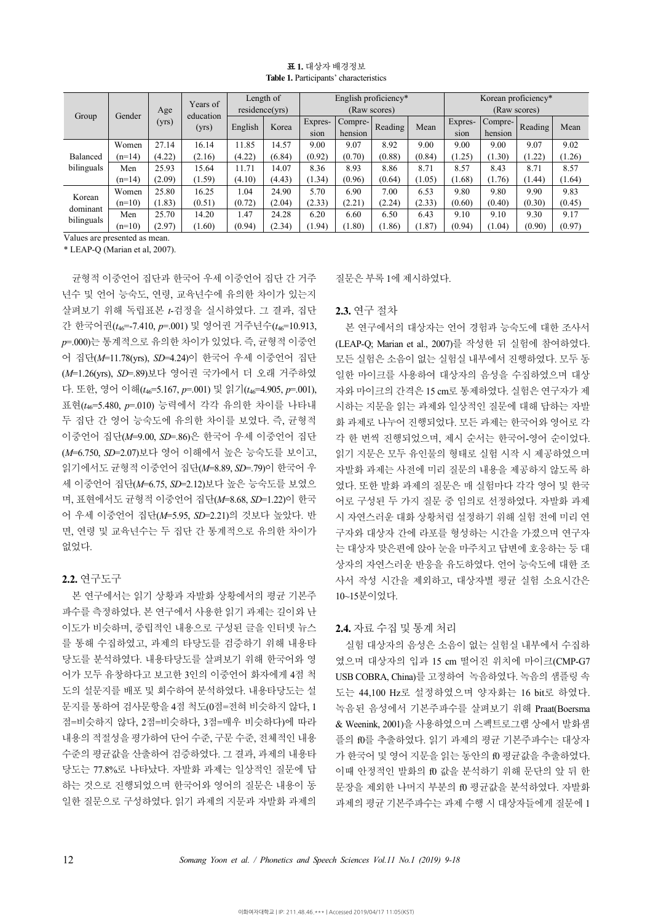|            |          |        | Years of  |                | Length of |         |         | English proficiency* |        |         |         | Korean proficiency* |        |
|------------|----------|--------|-----------|----------------|-----------|---------|---------|----------------------|--------|---------|---------|---------------------|--------|
|            |          | Age    | education | residence(yrs) |           |         |         | (Raw scores)         |        |         |         | (Raw scores)        |        |
| Group      | Gender   | (yrs)  |           |                |           | Expres- | Compre- |                      |        | Expres- | Compre- |                     |        |
|            |          |        | (yrs)     | English        | Korea     | sion    | hension | Reading              | Mean   | sion    | hension | Reading             | Mean   |
|            | Women    | 27.14  | 16.14     | 11.85          | 14.57     | 9.00    | 9.07    | 8.92                 | 9.00   | 9.00    | 9.00    | 9.07                | 9.02   |
| Balanced   | $(n=14)$ | (4.22) | (2.16)    | (4.22)         | (6.84)    | (0.92)  | (0.70)  | (0.88)               | (0.84) | (1.25)  | (1.30)  | (1.22)              | (1.26) |
| bilinguals | Men      | 25.93  | 15.64     | 11.71          | 14.07     | 8.36    | 8.93    | 8.86                 | 8.71   | 8.57    | 8.43    | 8.71                | 8.57   |
|            | $(n=14)$ | (2.09) | (1.59)    | (4.10)         | (4.43)    | (1.34)  | (0.96)  | (0.64)               | (1.05) | (1.68)  | (1.76)  | (1.44)              | (1.64) |
|            | Women    | 25.80  | 16.25     | 1.04           | 24.90     | 5.70    | 6.90    | 7.00                 | 6.53   | 9.80    | 9.80    | 9.90                | 9.83   |
| Korean     | $(n=10)$ | 1.83)  | (0.51)    | (0.72)         | (2.04)    | (2.33)  | (2.21)  | (2.24)               | (2.33) | (0.60)  | (0.40)  | (0.30)              | (0.45) |
| dominant   | Men      | 25.70  | 14.20     | 1.47           | 24.28     | 6.20    | 6.60    | 6.50                 | 6.43   | 9.10    | 9.10    | 9.30                | 9.17   |
| bilinguals | $(n=10)$ | (2.97) | (1.60)    | (0.94)         | (2.34)    | (1.94)  | (1.80)  | (1.86)               | (1.87) | (0.94)  | (1.04)  | (0.90)              | (0.97) |

표 **1.** 대상자 배경정보 **Table 1.** Participants' characteristics

Values are presented as mean.

\* LEAP-Q (Marian et al, 2007).

균형적 이중언어 집단과 한국어 우세 이중언어 집단 간 거주 년수 및 언어 능숙도, 연령, 교육년수에 유의한 차이가 있는지 살펴보기 위해 독립표본 *t*-검정을 실시하였다. 그 결과, 집단 간 한국어권(*t*46=-7.410, *p*=.001) 및 영어권 거주년수(*t*46=10.913, *p*=.000)는 통계적으로 유의한 차이가 있었다. 즉, 균형적 이중언 어 집단(*M*=11.78(yrs), *SD*=4.24)이 한국어 우세 이중언어 집단 (*M*=1.26(yrs), *SD*=.89)보다 영어권 국가에서 더 오래 거주하였 다. 또한, 영어 이해(*t*46=5.167, *p*=.001) 및 읽기(*t*46=4.905, *p*=.001), 표현(*t*46=5.480, *p*=.010) 능력에서 각각 유의한 차이를 나타내 두 집단 간 영어 능숙도에 유의한 차이를 보였다. 즉, 균형적 이중언어 집단(*M*=9.00, *SD*=.86)은 한국어 우세 이중언어 집단 (*M*=6.750, *SD*=2.07)보다 영어 이해에서 높은 능숙도를 보이고, 읽기에서도 균형적 이중언어 집단(*M*=8.89, *SD*=.79)이 한국어 우 세 이중언어 집단(*M*=6.75, *SD*=2.12)보다 높은 능숙도를 보였으 며, 표현에서도 균형적 이중언어 집단(*M*=8.68, *SD*=1.22)이 한국 어 우세 이중언어 집단(*M*=5.95, *SD*=2.21)의 것보다 높았다. 반 면, 연령 및 교육년수는 두 집단 간 통계적으로 유의한 차이가 없었다.

#### **2.2.** 연구도구

본 연구에서는 읽기 상황과 자발화 상황에서의 평균 기본주 파수를 측정하였다. 본 연구에서 사용한 읽기 과제는 길이와 난 이도가 비슷하며, 중립적인 내용으로 구성된 글을 인터넷 뉴스 를 통해 수집하였고, 과제의 타당도를 검증하기 위해 내용타 당도를 분석하였다. 내용타당도를 살펴보기 위해 한국어와 영 어가 모두 유창하다고 보고한 3인의 이중언어 화자에게 4점 척 도의 설문지를 배포 및 회수하여 분석하였다. 내용타당도는 설 문지를 통하여 검사문항을 4점 척도(0점=전혀 비슷하지 않다, 1 점=비슷하지 않다, 2점=비슷하다, 3점=매우 비슷하다)에 따라 내용의 적절성을 평가하여 단어 수준, 구문 수준, 전체적인 내용 수준의 평균값을 산출하여 검증하였다. 그 결과, 과제의 내용타 당도는 77.8%로 나타났다. 자발화 과제는 일상적인 질문에 답 하는 것으로 진행되었으며 한국어와 영어의 질문은 내용이 동 일한 질문으로 구성하였다. 읽기 과제의 지문과 자발화 과제의

#### 질문은 부록 1에 제시하였다.

### **2.3.** 연구 절차

본 연구에서의 대상자는 언어 경험과 능숙도에 대한 조사서 (LEAP-Q; Marian et al., 2007)를 작성한 뒤 실험에 참여하였다. 모든 실험은 소음이 없는 실험실 내부에서 진행하였다. 모두 동 일한 마이크를 사용하여 대상자의 음성을 수집하였으며 대상 자와 마이크의 간격은 15 cm로 통제하였다. 실험은 연구자가 제 시하는 지문을 읽는 과제와 일상적인 질문에 대해 답하는 자발 화 과제로 나누어 진행되었다. 모든 과제는 한국어와 영어로 각 각 한 번씩 진행되었으며, 제시 순서는 한국어-영어 순이었다. 읽기 지문은 모두 유인물의 형태로 실험 시작 시 제공하였으며 자발화 과제는 사전에 미리 질문의 내용을 제공하지 않도록 하 였다. 또한 발화 과제의 질문은 매 실험마다 각각 영어 및 한국 어로 구성된 두 가지 질문 중 임의로 선정하였다. 자발화 과제 시 자연스러운 대화 상황처럼 설정하기 위해 실험 전에 미리 연 구자와 대상자 간에 라포를 형성하는 시간을 가졌으며 연구자 는 대상자 맞은편에 앉아 눈을 마주치고 답변에 호응하는 등 대 상자의 자연스러운 반응을 유도하였다. 언어 능숙도에 대한 조 사서 작성 시간을 제외하고, 대상자별 평균 실험 소요시간은 10~15분이었다.

#### **2.4.** 자료 수집 및 통계 처리

실험 대상자의 음성은 소음이 없는 실험실 내부에서 수집하 였으며 대상자의 입과 15 cm 떨어진 위치에 마이크(CMP-G7 USB COBRA, China)를 고정하여 녹음하였다. 녹음의 샘플링 속 도는 44,100 Hz로 설정하였으며 양자화는 16 bit로 하였다. 녹음된 음성에서 기본주파수를 살펴보기 위해 Praat(Boersma & Weenink, 2001)을 사용하였으며 스펙트로그램 상에서 발화샘 플의 f0를 추출하였다. 읽기 과제의 평균 기본주파수는 대상자 가 한국어 및 영어 지문을 읽는 동안의 f0 평균값을 추출하였다. 이때 안정적인 발화의 f0 값을 분석하기 위해 문단의 앞 뒤 한 문장을 제외한 나머지 부분의 f0 평균값을 분석하였다. 자발화 과제의 평균 기본주파수는 과제 수행 시 대상자들에게 질문에 1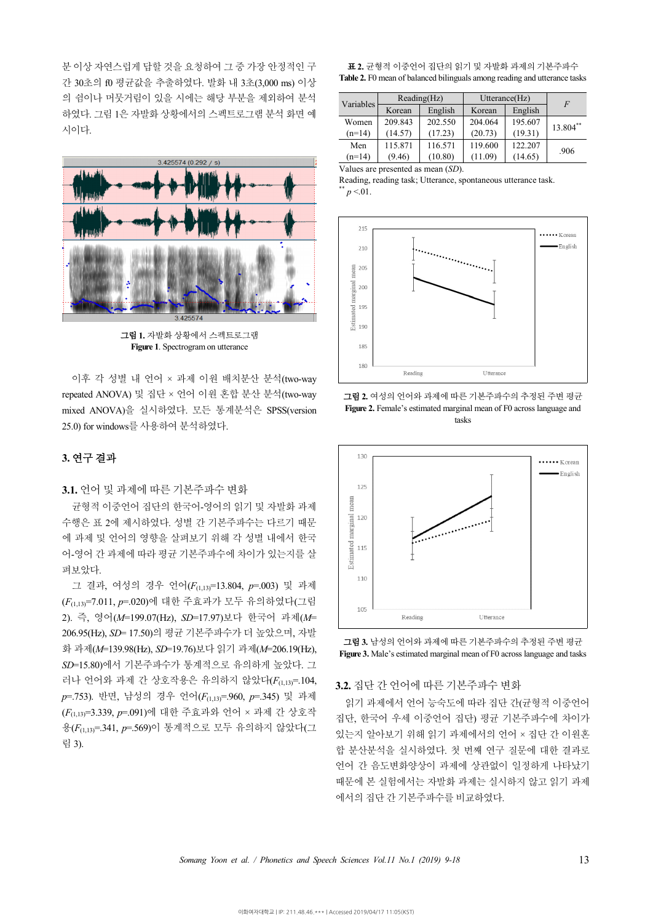분 이상 자연스럽게 답할 것을 요청하여 그 중 가장 안정적인 구 간 30초의 f0 평균값을 추출하였다. 발화 내 3초(3,000 ms) 이상 의 쉼이나 머뭇거림이 있을 시에는 해당 부분을 제외하여 분석 하였다. 그림 1은 자발화 상황에서의 스펙트로그램 분석 화면 예 시이다.



그림 **1.** 자발화 상황에서 스펙트로그램 **Figure 1**. Spectrogram on utterance

이후 각 성별 내 언어 × 과제 이원 배치분산 분석(two-way repeated ANOVA) 및 집단 × 언어 이원 혼합 분산 분석(two-way mixed ANOVA)을 실시하였다. 모든 통계분석은 SPSS(version 25.0) for windows를 사용하여 분석하였다.

### **3.** 연구 결과

**3.1.** 언어 및 과제에 따른 기본주파수 변화

균형적 이중언어 집단의 한국어-영어의 읽기 및 자발화 과제 - 균형적 이중언어 집단의 한국어-영어의 읽기 및 자발화 과제<br>수행은 표 2에 제시하였다. 성별 간 기본주파수는 다르기 때문<br>에 과제 및 어어의 역향은 산펴보기 의해 가 서별 내에서 하구 에 과제 및 언어의 영향을 살펴보기 위해 각 성별 내에서 한국 기준 등 115<br>어-영어 간 과제에 따라 평균 기본주파수에 차이가 있는지를 살 기준 분 4.15<br>고문인단 어-영어 간 과제에 따라 평균 기본주파수에 차이가 있는지를 살 펴보았다.

그 결과, 여성의 경우 언어(*F*(1,13)=13.804, *p*=.003) 및 과제 (*F*(1,13)=7.011, *p*=.020)에 대한 주효과가 모두 유의하였다(그림 2). 즉, 영어(*M*=199.07(Hz), *SD*=17.97)보다 한국어 과제(*<sup>M</sup>*= 206.95(Hz), *SD*= 17.50)의 평균 기본주파수가 더 높았으며, 자발 화 과제(*M*=139.98(Hz), *SD*=19.76)보다 읽기 과제(*M*=206.19(Hz), *SD*=15.80)에서 기본주파수가 통계적으로 유의하게 높았다. 그 러나 언어와 과제 간 상호작용은 유의하지 않았다( $F_{(1,13)}$ =.104, *p*=.753). 반면, 남성의 경우 언어(*F*(1,13)=.960, *p*=.345) 및 과제 (*F*(1,13)=3.339, *p*=.091)에 대한 주효과와 언어 × 과제 간 상호작 용(*F*(1,13)=.341, *p*=.569)이 통계적으로 모두 유의하지 않았다(그 림 3).

표 **2.** 균형적 이중언어 집단의 읽기 및 자발화 과제의 기본주파수 **Table 2.** F0 mean of balanced bilinguals among reading and utterance tasks

| Variables   |         | Reading(Hz) | $U$ tterance $(Hz)$ | $\overline{F}$ |          |  |
|-------------|---------|-------------|---------------------|----------------|----------|--|
|             | Korean  | English     | Korean              | English        |          |  |
| Women       | 209.843 | 202.550     | 204.064             | 195.607        | 13.804** |  |
| $(n=14)$    | (14.57) | (17.23)     | (20.73)             | (19.31)        |          |  |
| Men         | 115.871 | 116.571     | 119.600             | 122.207        | .906     |  |
| $(n=14)$    | (9.46)  | (10.80)     | (11.09)             | (14.65)        |          |  |
| <b>TY 1</b> | .       | (0, 0)      |                     |                |          |  |

Values are presented as mean (*SD*).

Reading, reading task; Utterance, spontaneous utterance task.  $p < 01$ .



그림 **2.** 여성의 언어와 과제에 따른 기본주파수의 추정된 주변 평균 **Figure 2.** Female's estimated marginal mean of F0 across language and tasks





### **3.2.** 집단 간 언어에 따른 기본주파수 변화

읽기 과제에서 언어 능숙도에 따라 집단 간(균형적 이중언어 집단, 한국어 우세 이중언어 집단) 평균 기본주파수에 차이가 있는지 알아보기 위해 읽기 과제에서의 언어 × 집단 간 이원혼 합 분산분석을 실시하였다. 첫 번째 연구 질문에 대한 결과로 언어 간 음도변화양상이 과제에 상관없이 일정하게 나타났기 때문에 본 실험에서는 자발화 과제는 실시하지 않고 읽기 과제 에서의 집단 간 기본주파수를 비교하였다.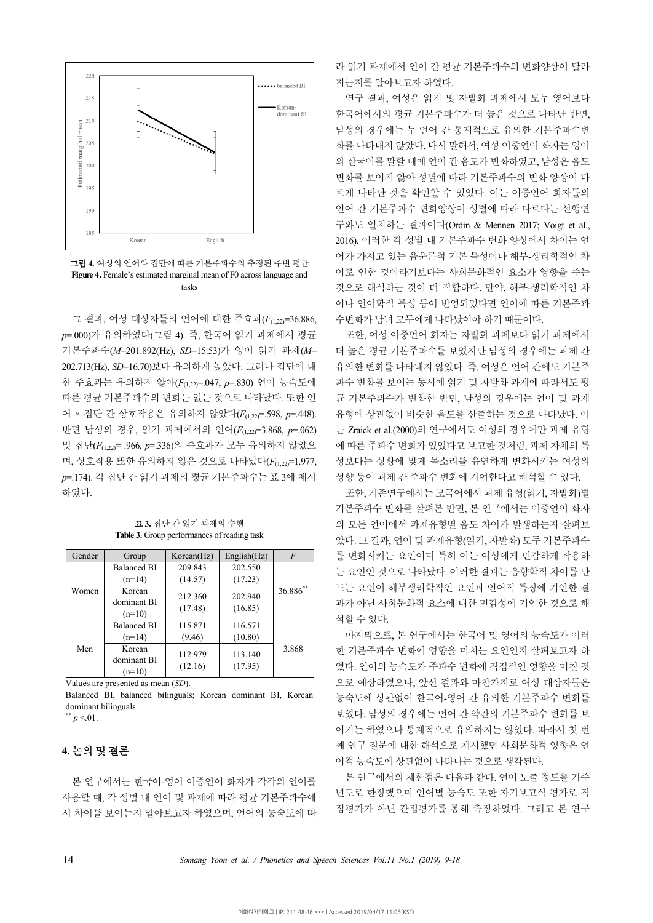

그림 **4.** 여성의 언어와 집단에 따른 기본주파수의 추정된 주변 평균 **Figure 4.** Female's estimated marginal mean of F0 across language and tasks

그 결과, 여성 대상자들의 언어에 대한 주효과(*F*(1,22)=36.886, *p*=.000)가 유의하였다(그림 4). 즉, 한국어 읽기 과제에서 평균 기본주파수(*M*=201.892(Hz), *SD*=15.53)가 영어 읽기 과제(*<sup>M</sup>*= 202.713(Hz), *SD*=16.70)보다 유의하게 높았다. 그러나 집단에 대 한 주효과는 유의하지 않아( $F_{(1,22)}$ =.047,  $p$ =.830) 언어 능숙도에 따른 평균 기본주파수의 변화는 없는 것으로 나타났다. 또한 언 어 × 집단 간 상호작용은 유의하지 않았다(*F*(1,22)=.598, *p*=.448). 반면 남성의 경우, 읽기 과제에서의 언어( $F_{(1,22)}=3.868$ ,  $p=.062$ ) 및 집단(*F*(1,22)= .966, *p*=.336)의 주효과가 모두 유의하지 않았으 며, 상호작용 또한 유의하지 않은 것으로 나타났다(F<sub>(1,22</sub>=1,977, *p*=.174). 각 집단 간 읽기 과제의 평균 기본주파수는 표 3에 제시 하였다.

| Gender | Group                             | Korean(Hz)         | English $(Hz)$     | $\overline{F}$ |
|--------|-----------------------------------|--------------------|--------------------|----------------|
| Women  | <b>Balanced BI</b>                | 209.843            | 202.550            |                |
|        | $(n=14)$                          | (14.57)            | (17.23)            |                |
|        | Korean<br>dominant BI<br>$(n=10)$ | 212.360<br>(17.48) | 202.940<br>(16.85) | 36.886**       |
| Men    | <b>Balanced BI</b><br>$(n=14)$    | 115.871<br>(9.46)  | 116.571<br>(10.80) |                |
|        | Korean<br>dominant BI<br>$(n=10)$ | 112.979<br>(12.16) | 113.140<br>(17.95) | 3.868          |

표 **3.** 집단 간 읽기 과제의 수행 **Table 3.** Group performances of reading task

Values are presented as mean (*SD*).

Balanced BI, balanced bilinguals; Korean dominant BI, Korean dominant bilinguals.

 $*$  *p* <.01.

### **4.** 논의 및 결론

본 연구에서는 한국어-영어 이중언어 화자가 각각의 언어를 사용할 때, 각 성별 내 언어 및 과제에 따라 평균 기본주파수에 서 차이를 보이는지 알아보고자 하였으며, 언어의 능숙도에 따 라 읽기 과제에서 언어 간 평균 기본주파수의 변화양상이 달라 지는지를 알아보고자 하였다.

연구 결과, 여성은 읽기 및 자발화 과제에서 모두 영어보다 한국어에서의 평균 기본주파수가 더 높은 것으로 나타난 반면, 남성의 경우에는 두 언어 간 통계적으로 유의한 기본주파수변 화를 나타내지 않았다. 다시 말해서, 여성 이중언어 화자는 영어 와 한국어를 말할 때에 언어 간 음도가 변화하였고, 남성은 음도 변화를 보이지 않아 성별에 따라 기본주파수의 변화 양상이 다 르게 나타난 것을 확인할 수 있었다. 이는 이중언어 화자들의 언어 간 기본주파수 변화양상이 성별에 따라 다르다는 선행연 구와도 일치하는 결과이다(Ordin & Mennen 2017; Voigt et al., 2016). 이러한 각 성별 내 기본주파수 변화 양상에서 차이는 언 어가 가지고 있는 음운론적 기본 특성이나 해부-생리학적인 차 이로 인한 것이라기보다는 사회문화적인 요소가 영향을 주는 것으로 해석하는 것이 더 적합하다. 만약, 해부-생리학적인 차 이나 언어학적 특성 등이 반영되었다면 언어에 따른 기본주파 수변화가 남녀 모두에게 나타났어야 하기 때문이다.

또한, 여성 이중언어 화자는 자발화 과제보다 읽기 과제에서 더 높은 평균 기본주파수를 보였지만 남성의 경우에는 과제 간 유의한 변화를 나타내지 않았다. 즉, 여성은 언어 간에도 기본주 파수 변화를 보이는 동시에 읽기 및 자발화 과제에 따라서도 평 균 기본주파수가 변화한 반면, 남성의 경우에는 언어 및 과제 유형에 상관없이 비슷한 음도를 산출하는 것으로 나타났다. 이 는 Zraick et al.(2000)의 연구에서도 여성의 경우에만 과제 유형 에 따른 주파수 변화가 있었다고 보고한 것처럼, 과제 자체의 특 성보다는 상황에 맞게 목소리를 유연하게 변화시키는 여성의 성향 등이 과제 간 주파수 변화에 기여한다고 해석할 수 있다.

또한, 기존연구에서는 모국어에서 과제 유형(읽기, 자발화)별 기본주파수 변화를 살펴본 반면, 본 연구에서는 이중언어 화자 의 모든 언어에서 과제유형별 음도 차이가 발생하는지 살펴보 았다. 그 결과, 언어 및 과제유형(읽기, 자발화) 모두 기본주파수 를 변화시키는 요인이며 특히 이는 여성에게 민감하게 작용하 는 요인인 것으로 나타났다. 이러한 결과는 음향학적 차이를 만 드는 요인이 해부생리학적인 요인과 언어적 특징에 기인한 결 과가 아닌 사회문화적 요소에 대한 민감성에 기인한 것으로 해 석할 수 있다.

마지막으로, 본 연구에서는 한국어 및 영어의 능숙도가 이러 한 기본주파수 변화에 영향을 미치는 요인인지 살펴보고자 하 였다. 언어의 능숙도가 주파수 변화에 직접적인 영향을 미칠 것 으로 예상하였으나, 앞선 결과와 마찬가지로 여성 대상자들은 능숙도에 상관없이 한국어-영어 간 유의한 기본주파수 변화를 보였다. 남성의 경우에는 언어 간 약간의 기본주파수 변화를 보 이기는 하였으나 통계적으로 유의하지는 않았다. 따라서 첫 번 째 연구 질문에 대한 해석으로 제시했던 사회문화적 영향은 언 어적 능숙도에 상관없이 나타나는 것으로 생각된다.

본 연구에서의 제한점은 다음과 같다. 언어 노출 정도를 거주 년도로 한정했으며 언어별 능숙도 또한 자기보고식 평가로 직 접평가가 아닌 간접평가를 통해 측정하였다. 그리고 본 연구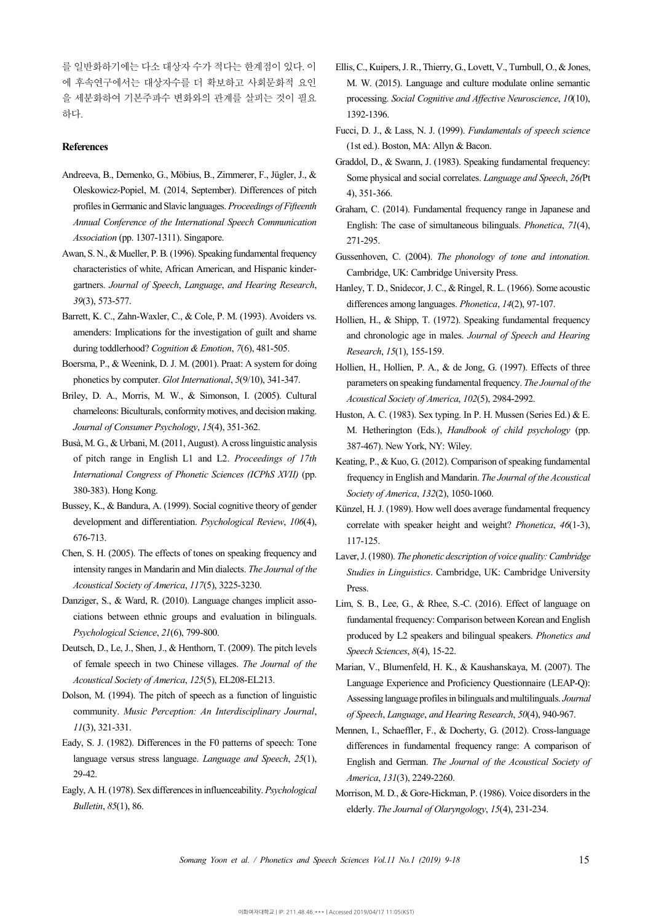를 일반화하기에는 다소 대상자 수가 적다는 한계점이 있다. 이 에 후속연구에서는 대상자수를 더 확보하고 사회문화적 요인 을 세분화하여 기본주파수 변화와의 관계를 살피는 것이 필요 하다.

#### **References**

- Andreeva, B., Demenko, G., Möbius, B., Zimmerer, F., Jügler, J., & Oleskowicz-Popiel, M. (2014, September). Differences of pitch profiles in Germanic and Slavic languages. *Proceedings of Fifteenth Annual Conference of the International Speech Communication Association* (pp. 1307-1311). Singapore.
- Awan, S. N., & Mueller, P. B. (1996). Speaking fundamental frequency characteristics of white, African American, and Hispanic kinder gartners. *Journal of Speech*, *Language*, *and Hearing Research*, *39*(3), 573-577.
- Barrett, K. C., Zahn-Waxler, C., & Cole, P. M. (1993). Avoiders vs.<br>amenders: Implications for the investigation of guilt and shame during toddlerhood? *Cognition & Emotion*, *7*(6), 481-505.
- Boersma, P., & Weenink, D. J. M. (2001). Praat: A system for doing phonetics by computer. *Glot International*, *5*(9/10), 341-347.
- Briley, D. A., Morris, M. W., & Simonson, I. (2005). Cultural chameleons: Biculturals, conformity motives, and decision making. *Journal of Consumer Psychology*, *15*(4), 351-362.
- Busà, M. G., & Urbani, M. (2011, August). A cross linguistic analysis of pitch range in English L1 and L2. *Proceedings of 17th International Congress of Phonetic Sciences (ICPhS XVII)* (pp. 380-383). Hong Kong.
- Bussey, K., & Bandura, A. (1999). Social cognitive theory of gender development and differentiation. *Psychological Review*, *106*(4), 676-713.
- Chen, S. H. (2005). The effects of tones on speaking frequency and intensity ranges in Mandarin and Min dialects. *The Journal of the Acoustical Society of America*, *117*(5), 3225-3230.
- Danziger, S., & Ward, R. (2010). Language changes implicit asso-<br>Lim, S. B., Lee, G., & Rhee, S.-C. (2016). Effect of language on ciations between ethnic groups and evaluation in bilinguals. *Psychological Science*, *21*(6), 799-800.
- Deutsch, D., Le, J., Shen, J., & Henthorn, T. (2009). The pitch levels of female speech in two Chinese villages. *The Journal of the Acoustical Society of America*, *125*(5), EL208-EL213.
- Dolson, M. (1994). The pitch of speech as a function of linguistic community. *Music Perception: An Interdisciplinary Journal*, *11*(3), 321-331.
- Eady, S. J. (1982). Differences in the F0 patterns of speech: Tone language versus stress language. *Language and Speech*, *25*(1), 29-42.
- Eagly, A. H. (1978). Sex differences in influenceability. *Psychological Bulletin*, *85*(1), 86.
- Ellis, C., Kuipers, J. R., Thierry, G., Lovett, V., Turnbull, O., & Jones, M. W. (2015). Language and culture modulate online semantic processing. *Social Cognitive and Affective Neuroscience*, *10*(10), 1392-1396.
- Fucci, D. J., & Lass, N. J. (1999). *Fundamentals of speech science*  (1st ed.). Boston, MA: Allyn & Bacon.
- Graddol, D., & Swann, J. (1983). Speaking fundamental frequency: Some physical and social correlates. *Language and Speech*, *26(*Pt 4), 351-366.
- Graham, C. (2014). Fundamental frequency range in Japanese and English: The case of simultaneous bilinguals. *Phonetica*, *71*(4), 271-295.
- Gussenhoven, C. (2004). *The phonology of tone and intonation.*  Cambridge, UK: Cambridge University Press.
- Hanley, T. D., Snidecor, J. C., & Ringel, R. L. (1966). Some acoustic differences among languages. *Phonetica*, *14*(2), 97-107.
- Hollien, H., & Shipp, T. (1972). Speaking fundamental frequency and chronologic age in males. *Journal of Speech and Hearing Research*, *15*(1), 155-159.
- Hollien, H., Hollien, P. A., & de Jong, G. (1997). Effects of three parameters on speaking fundamental frequency. *The Journal of the Acoustical Society of America*, *102*(5), 2984-2992.
- Huston, A. C. (1983). Sex typing. In P. H. Mussen (Series Ed.) & E. M. Hetherington (Eds.), *Handbook of child psychology* (pp. 387-467). New York, NY: Wiley.
- Keating, P., & Kuo, G. (2012). Comparison of speaking fundamental frequency in English and Mandarin. *The Journal of the Acoustical Society of America*, *132*(2), 1050-1060.
- Künzel, H. J. (1989). How well does average fundamental frequency correlate with speaker height and weight? *Phonetica*, *46*(1-3), 117-125.
- Laver, J. (1980). *The phonetic description of voice quality: Cambridge Studies in Linguistics*. Cambridge, UK: Cambridge University Press.
- fundamental frequency: Comparison between Korean and English produced by L2 speakers and bilingual speakers. *Phonetics and Speech Sciences*, *8*(4), 15-22.
- Marian, V., Blumenfeld, H. K., & Kaushanskaya, M. (2007). The Language Experience and Proficiency Questionnaire (LEAP-Q): Assessing language profiles in bilinguals and multilinguals. *Journal of Speech*, *Language*, *and Hearing Research*, *50*(4), 940-967.
- Mennen, I., Schaeffler, F., & Docherty, G. (2012). Cross-language differences in fundamental frequency range: A comparison of English and German. *The Journal of the Acoustical Society of America*, *131*(3), 2249-2260.
- Morrison, M. D., & Gore-Hickman, P. (1986). Voice disorders in the elderly. *The Journal of Olaryngology*, *15*(4), 231-234.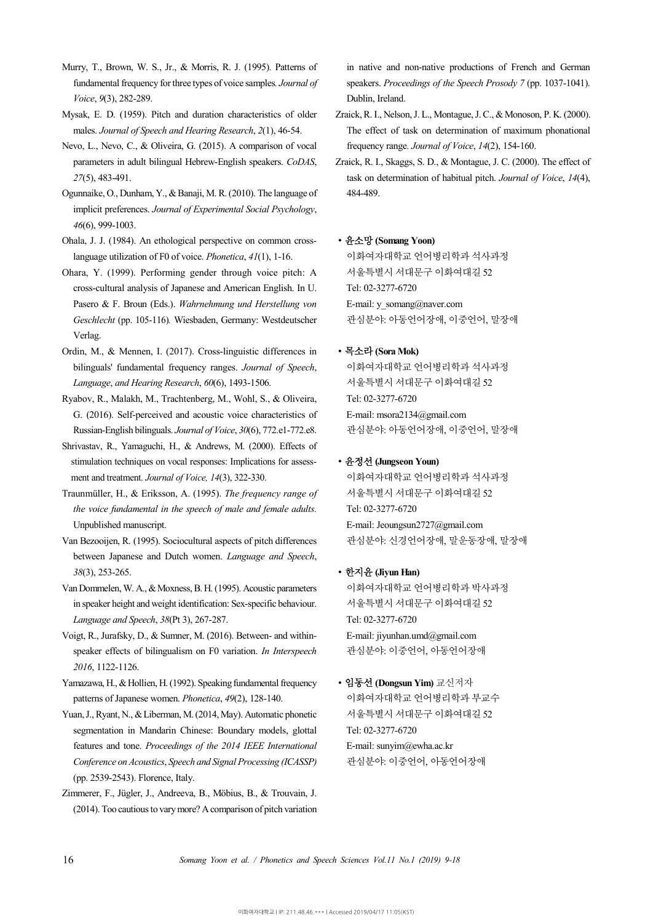- Murry, T., Brown, W. S., Jr., & Morris, R. J. (1995). Patterns of fundamental frequency for three types of voice samples*. Journal of Voice*, *9*(3), 282-289.
- Mysak, E. D. (1959). Pitch and duration characteristics of older males. *Journal of Speech and Hearing Research*, *2*(1), 46-54.
- Nevo, L., Nevo, C., & Oliveira, G. (2015). A comparison of vocal parameters in adult bilingual Hebrew-English speakers. *CoDAS*, *27*(5), 483-491.
- Ogunnaike, O., Dunham, Y., & Banaji, M. R. (2010). The language of implicit preferences. *Journal of Experimental Social Psychology*, *46*(6), 999-1003.
- Ohala, J. J. (1984). An ethological perspective on common cross- language utilization of F0 of voice. *Phonetica*, *<sup>41</sup>*(1), 1-16.
- Ohara, Y. (1999). Performing gender through voice pitch: A cross-cultural analysis of Japanese and American English. In U. Pasero & F. Broun (Eds.). *Wahrnehmung und Herstellung von Geschlecht* (pp. 105-116)*.* Wiesbaden, Germany: Westdeutscher Verlag.
- Ordin, M., & Mennen, I. (2017). Cross-linguistic differences in bilinguals' fundamental frequency ranges. *Journal of Speech*, *Language*, *and Hearing Research*, *60*(6), 1493-1506.
- Ryabov, R., Malakh, M., Trachtenberg, M., Wohl, S., & Oliveira, G. (2016). Self-perceived and acoustic voice characteristics of Russian-English bilinguals. *Journal of Voice*, *30*(6), 772.e1-772.e8.
- Shrivastav, R., Yamaguchi, H., & Andrews, M. (2000). Effects of stimulation techniques on vocal responses: Implications for assess ment and treatment. *Journal of Voice, 14*(3), 322-330.
- Traunmüller, H., & Eriksson, A. (1995). *The frequency range of the voice fundamental in the speech of male and female adults.* Unpublished manuscript.
- Van Bezooijen, R. (1995). Sociocultural aspects of pitch differences between Japanese and Dutch women. *Language and Speech*, *38*(3), 253-265.
- Van Dommelen, W. A., & Moxness, B. H. (1995). Acoustic parameters in speaker height and weight identification: Sex-specific behaviour. *Language and Speech*, *38*(Pt 3), 267-287.
- Voigt, R., Jurafsky, D., & Sumner, M. (2016). Between- and withinspeaker effects of bilingualism on F0 variation. *In Interspeech 2016*, 1122-1126.
- Yamazawa, H., & Hollien, H. (1992). Speaking fundamental frequency patterns of Japanese women. *Phonetica*, *49*(2), 128-140.
- Yuan, J., Ryant, N., & Liberman, M. (2014, May). Automatic phonetic segmentation in Mandarin Chinese: Boundary models, glottal features and tone. *Proceedings of the 2014 IEEE International Conference on Acoustics*, *Speech and Signal Processing (ICASSP)*  (pp. 2539-2543). Florence, Italy.
- Zimmerer, F., Jügler, J., Andreeva, B., Möbius, B., & Trouvain, J. (2014). Too cautious to vary more? A comparison of pitch variation

in native and non-native productions of French and German speakers. *Proceedings of the Speech Prosody 7* (pp. 1037-1041). Dublin, Ireland.

- Zraick, R. I., Nelson, J. L., Montague, J. C., & Monoson, P. K. (2000). The effect of task on determination of maximum phonational frequency range. *Journal of Voice*, *14*(2), 154-160.
- Zraick, R. I., Skaggs, S. D., & Montague, J. C. (2000). The effect of task on determination of habitual pitch. *Journal of Voice*, *14*(4), 484-489.

#### ∙윤소망 **(Somang Yoon)**

이화여자대학교 언어병리학과 석사과정 서울특별시 서대문구 이화여대길 52 Tel: 02-3277-6720

E-mail: y\_somang@naver.com 관심분야: 아동언어장애, 이중언어, 말장애

### ∙목소라 **(Sora Mok)**

이화여자대학교 언어병리학과 석사과정 서울특별시 서대문구 이화여대길 52 Tel: 02-3277-6720 E-mail: msora2134@gmail.com 관심분야: 아동언어장애, 이중언어, 말장애

#### ∙윤정선 **(Jungseon Youn)**

이화여자대학교 언어병리학과 석사과정 서울특별시 서대문구 이화여대길 52 Tel: 02-3277-6720 E-mail: Jeoungsun2727@gmail.com 관심분야: 신경언어장애, 말운동장애, 말장애

#### ∙한지윤 **(Jiyun Han)**

이화여자대학교 언어병리학과 박사과정 서울특별시 서대문구 이화여대길 52 Tel: 02-3277-6720 E-mail: jiyunhan.umd@gmail.com 관심분야: 이중언어, 아동언어장애

∙임동선 **(Dongsun Yim)** 교신저자 이화여자대학교 언어병리학과 부교수 서울특별시 서대문구 이화여대길 52 Tel: 02-3277-6720 E-mail: sunyim@ewha.ac.kr 관심분야: 이중언어, 아동언어장애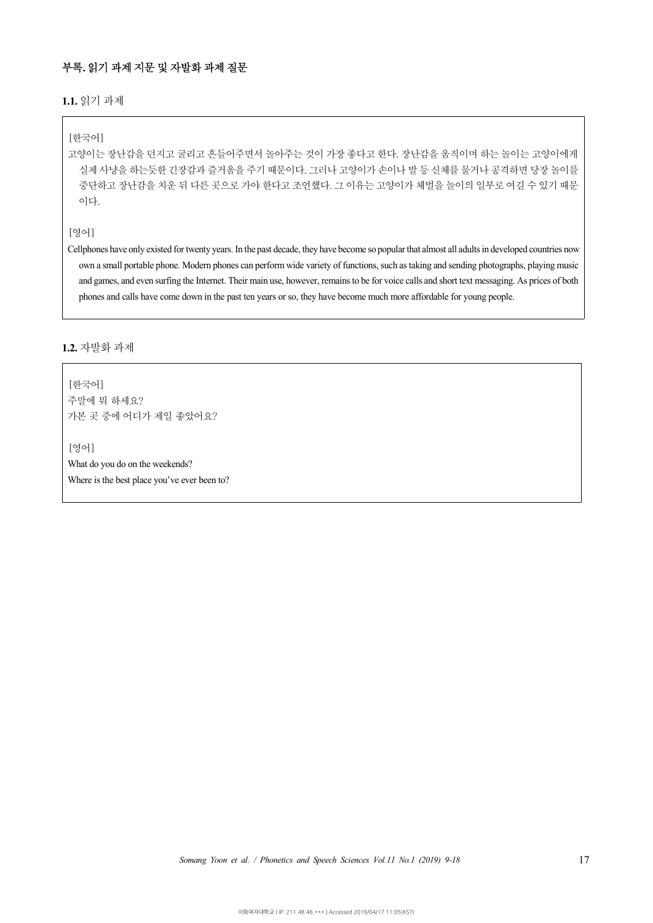### 부록**.** 읽기 과제 지문 및 자발화 과제 질문

**1.1.** 읽기 과제

#### [한국어]

고양이는 장난감을 던지고 굴리고 흔들어주면서 놀아주는 것이 가장 좋다고 한다. 장난감을 움직이며 하는 놀이는 고양이에게 실제 사냥을 하는듯한 긴장감과 즐거움을 주기 때문이다. 그러나 고양이가 손이나 발 등 신체를 물거나 공격하면 당장 놀이를 중단하고 장난감을 치운 뒤 다른 곳으로 가야 한다고 조언했다. 그 이유는 고양이가 체벌을 놀이의 일부로 여길 수 있기 때문 이다.

### [영어]

Cellphones have only existed for twenty years. In the past decade, they have become so popular that almost all adults in developed countries now<br>own a small portable phone. Modern phones can perform wide variety of functio and games, and even surfing the Internet. Their main use, however, remains to be for voice calls and short text messaging. As prices of both phones and calls have come down in the past ten years or so, they have become much more affordable for young people.

### **1.2.** 자발화 과제

[한국어] 주말에 뭐 하세요? 가본 곳 중에 어디가 제일 좋았어요?

[영어] What do you do on the weekends? Where is the best place you've ever been to?